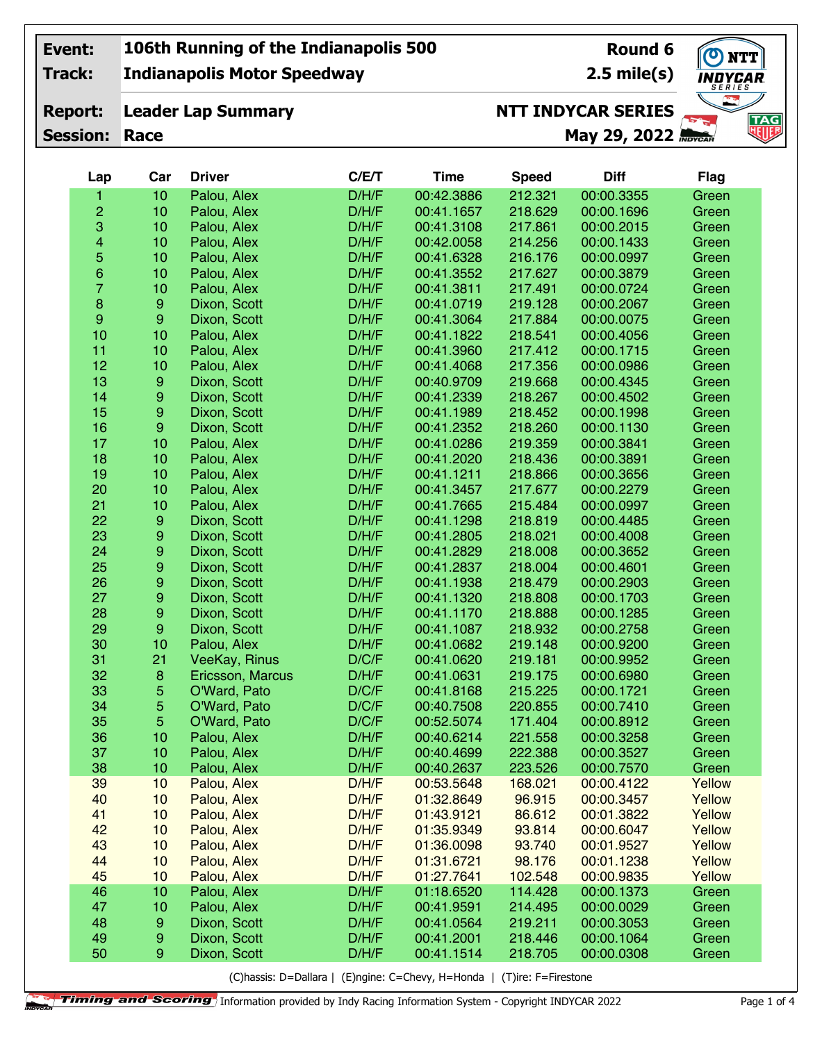**Track:**

**Report:**

**Indianapolis Motor Speedway**

**Leader Lap Summary**

**Round 6 2.5 mile(s)**

**NTT** NDYCAR. **TAG**<br>NUF

## **NTT INDYCAR SERIES**

**Session: Race**

**May 29, 2022**

| Lap                     | Car              | <b>Driver</b>    | C/E/T | <b>Time</b> | <b>Speed</b> | <b>Diff</b> | <b>Flag</b> |
|-------------------------|------------------|------------------|-------|-------------|--------------|-------------|-------------|
| 1                       | 10               | Palou, Alex      | D/H/F | 00:42.3886  | 212.321      | 00:00.3355  | Green       |
| $\overline{c}$          | 10               | Palou, Alex      | D/H/F | 00:41.1657  | 218.629      | 00:00.1696  | Green       |
| $\mathbf{3}$            | 10               | Palou, Alex      | D/H/F | 00:41.3108  | 217.861      | 00:00.2015  | Green       |
| $\overline{\mathbf{4}}$ | 10               | Palou, Alex      | D/H/F | 00:42.0058  | 214.256      | 00:00.1433  | Green       |
| $\overline{5}$          | 10               | Palou, Alex      | D/H/F | 00:41.6328  | 216.176      | 00:00.0997  | Green       |
| $\mathbf 6$             | 10               | Palou, Alex      | D/H/F | 00:41.3552  | 217.627      | 00:00.3879  | Green       |
| 7                       | 10               | Palou, Alex      | D/H/F | 00:41.3811  | 217.491      | 00:00.0724  | Green       |
| $\bf8$                  | $\boldsymbol{9}$ | Dixon, Scott     | D/H/F | 00:41.0719  | 219.128      | 00:00.2067  | Green       |
| $\boldsymbol{9}$        | $\boldsymbol{9}$ | Dixon, Scott     | D/H/F | 00:41.3064  | 217.884      | 00:00.0075  | Green       |
| 10                      | 10               | Palou, Alex      | D/H/F | 00:41.1822  | 218.541      | 00:00.4056  | Green       |
| 11                      | 10               | Palou, Alex      | D/H/F | 00:41.3960  | 217.412      | 00:00.1715  | Green       |
| 12                      | 10               | Palou, Alex      | D/H/F | 00:41.4068  | 217.356      | 00:00.0986  | Green       |
| 13                      | $\boldsymbol{9}$ | Dixon, Scott     | D/H/F | 00:40.9709  | 219.668      | 00:00.4345  | Green       |
| 14                      | 9                | Dixon, Scott     | D/H/F | 00:41.2339  | 218.267      | 00:00.4502  | Green       |
| 15                      | $\boldsymbol{9}$ | Dixon, Scott     | D/H/F | 00:41.1989  | 218.452      | 00:00.1998  | Green       |
| 16                      | $\boldsymbol{9}$ | Dixon, Scott     | D/H/F | 00:41.2352  | 218.260      | 00:00.1130  | Green       |
| 17                      | 10               | Palou, Alex      | D/H/F | 00:41.0286  | 219.359      | 00:00.3841  | Green       |
| 18                      | 10               | Palou, Alex      | D/H/F | 00:41.2020  | 218.436      | 00:00.3891  | Green       |
| 19                      | 10               | Palou, Alex      | D/H/F | 00:41.1211  | 218.866      | 00:00.3656  | Green       |
| 20                      | 10               | Palou, Alex      | D/H/F | 00:41.3457  | 217.677      | 00:00.2279  | Green       |
| 21                      | 10               | Palou, Alex      | D/H/F | 00:41.7665  | 215.484      | 00:00.0997  | Green       |
| 22                      | $\boldsymbol{9}$ | Dixon, Scott     | D/H/F | 00:41.1298  | 218.819      | 00:00.4485  | Green       |
| 23                      | 9                | Dixon, Scott     | D/H/F | 00:41.2805  | 218.021      | 00:00.4008  | Green       |
| 24                      | 9                | Dixon, Scott     | D/H/F | 00:41.2829  | 218.008      | 00:00.3652  | Green       |
| 25                      | 9                | Dixon, Scott     | D/H/F | 00:41.2837  | 218.004      | 00:00.4601  | Green       |
| 26                      | 9                | Dixon, Scott     | D/H/F | 00:41.1938  | 218.479      | 00:00.2903  | Green       |
| 27                      | 9                | Dixon, Scott     | D/H/F | 00:41.1320  | 218.808      | 00:00.1703  | Green       |
| 28                      | $\boldsymbol{9}$ | Dixon, Scott     | D/H/F | 00:41.1170  | 218.888      | 00:00.1285  | Green       |
| 29                      | $\boldsymbol{9}$ | Dixon, Scott     | D/H/F | 00:41.1087  | 218.932      | 00:00.2758  | Green       |
| 30                      | 10               | Palou, Alex      | D/H/F | 00:41.0682  | 219.148      | 00:00.9200  | Green       |
| 31                      | 21               | VeeKay, Rinus    | D/C/F | 00:41.0620  | 219.181      | 00:00.9952  | Green       |
| 32                      | $\bf8$           | Ericsson, Marcus | D/H/F | 00:41.0631  | 219.175      | 00:00.6980  | Green       |
| 33                      | 5                | O'Ward, Pato     | D/C/F | 00:41.8168  | 215.225      | 00:00.1721  | Green       |
| 34                      | 5                | O'Ward, Pato     | D/C/F | 00:40.7508  | 220.855      | 00:00.7410  | Green       |
| 35                      | 5                | O'Ward, Pato     | D/C/F | 00:52.5074  | 171.404      | 00:00.8912  | Green       |
| 36                      | 10               | Palou, Alex      | D/H/F | 00:40.6214  | 221.558      | 00:00.3258  | Green       |
| 37                      | 10               | Palou, Alex      | D/H/F | 00:40.4699  | 222.388      | 00:00.3527  | Green       |
| 38                      | 10               | Palou, Alex      | D/H/F | 00:40.2637  | 223.526      | 00:00.7570  | Green       |
| 39                      | 10               | Palou, Alex      | D/H/F | 00:53.5648  | 168.021      | 00:00.4122  | Yellow      |
| 40                      | 10               | Palou, Alex      | D/H/F | 01:32.8649  | 96.915       | 00:00.3457  | Yellow      |
| 41                      | 10               | Palou, Alex      | D/H/F | 01:43.9121  | 86.612       | 00:01.3822  | Yellow      |
| 42                      | 10               | Palou, Alex      | D/H/F | 01:35.9349  | 93.814       | 00:00.6047  | Yellow      |
| 43                      | 10               | Palou, Alex      | D/H/F | 01:36.0098  | 93.740       | 00:01.9527  | Yellow      |
| 44                      | 10               | Palou, Alex      | D/H/F | 01:31.6721  | 98.176       | 00:01.1238  | Yellow      |
| 45                      | 10               | Palou, Alex      | D/H/F | 01:27.7641  | 102.548      | 00:00.9835  | Yellow      |
| 46                      | 10               | Palou, Alex      | D/H/F | 01:18.6520  | 114.428      | 00:00.1373  | Green       |
| 47                      | 10               | Palou, Alex      | D/H/F | 00:41.9591  | 214.495      | 00:00.0029  | Green       |
| 48                      | $\boldsymbol{9}$ | Dixon, Scott     | D/H/F | 00:41.0564  | 219.211      | 00:00.3053  | Green       |
| 49                      | $\boldsymbol{9}$ | Dixon, Scott     | D/H/F | 00:41.2001  | 218.446      | 00:00.1064  | Green       |
| 50                      | 9                | Dixon, Scott     | D/H/F | 00:41.1514  | 218.705      | 00:00.0308  | Green       |
|                         |                  |                  |       |             |              |             |             |

(C)hassis: D=Dallara | (E)ngine: C=Chevy, H=Honda | (T)ire: F=Firestone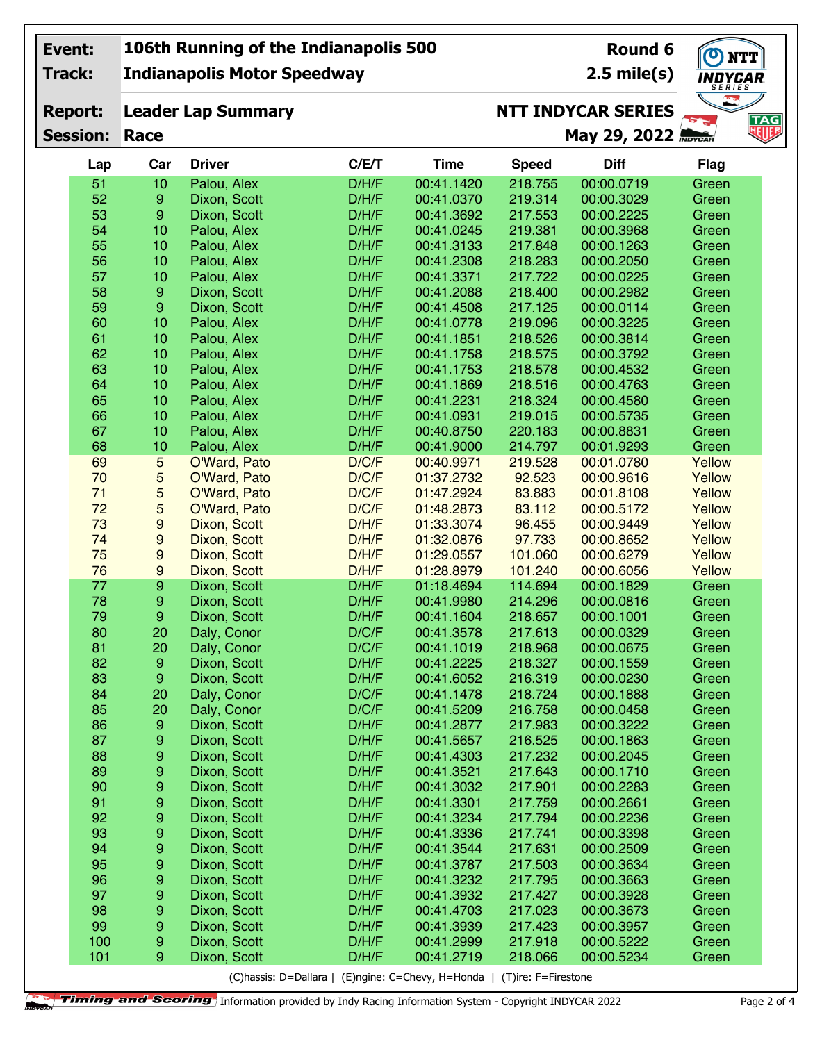| Event:          |                       | 106th Running of the Indianapolis 500 |                                                                         |                          | Round 6            | $\bullet$<br><b>NTT</b>   |                   |                         |
|-----------------|-----------------------|---------------------------------------|-------------------------------------------------------------------------|--------------------------|--------------------|---------------------------|-------------------|-------------------------|
| Track:          |                       | <b>Indianapolis Motor Speedway</b>    |                                                                         |                          |                    | $2.5$ mile(s)             | INDYCAR<br>SERIES |                         |
| <b>Report:</b>  |                       | <b>Leader Lap Summary</b>             |                                                                         |                          |                    | <b>NTT INDYCAR SERIES</b> |                   |                         |
| <b>Session:</b> | Race                  |                                       |                                                                         |                          |                    | May 29, 2022              |                   | TAG<br>地 <mark>脚</mark> |
| Lap             | Car                   | <b>Driver</b>                         | C/E/T                                                                   | <b>Time</b>              | <b>Speed</b>       | <b>Diff</b>               | <b>Flag</b>       |                         |
| 51              | 10                    | Palou, Alex                           | D/H/F                                                                   | 00:41.1420               | 218.755            | 00:00.0719                | Green             |                         |
| 52              | $\boldsymbol{9}$      | Dixon, Scott                          | D/H/F                                                                   | 00:41.0370               | 219.314            | 00:00.3029                | Green             |                         |
| 53              | $\boldsymbol{9}$      | Dixon, Scott                          | D/H/F                                                                   | 00:41.3692               | 217.553            | 00:00.2225                | Green             |                         |
| 54              | 10                    | Palou, Alex                           | D/H/F                                                                   | 00:41.0245               | 219.381            | 00:00.3968                | Green             |                         |
| 55              | 10                    | Palou, Alex                           | D/H/F                                                                   | 00:41.3133               | 217.848            | 00:00.1263                | Green             |                         |
| 56              | 10                    | Palou, Alex                           | D/H/F                                                                   | 00:41.2308               | 218.283            | 00:00.2050                | Green             |                         |
| 57              | 10                    | Palou, Alex                           | D/H/F                                                                   | 00:41.3371               | 217.722            | 00:00.0225                | Green             |                         |
| 58              | 9                     | Dixon, Scott                          | D/H/F                                                                   | 00:41.2088               | 218.400            | 00:00.2982                | Green             |                         |
| 59              | 9                     | Dixon, Scott                          | D/H/F                                                                   | 00:41.4508               | 217.125            | 00:00.0114                | Green             |                         |
| 60              | 10                    | Palou, Alex                           | D/H/F                                                                   | 00:41.0778               | 219.096            | 00:00.3225                | Green             |                         |
| 61              | 10                    | Palou, Alex                           | D/H/F                                                                   | 00:41.1851               | 218.526            | 00:00.3814                | Green             |                         |
| 62              | 10                    | Palou, Alex                           | D/H/F                                                                   | 00:41.1758               | 218.575            | 00:00.3792                | Green             |                         |
| 63              | 10                    | Palou, Alex                           | D/H/F                                                                   | 00:41.1753               | 218.578            | 00:00.4532                | Green             |                         |
| 64              | 10                    | Palou, Alex                           | D/H/F                                                                   | 00:41.1869               | 218.516            | 00:00.4763                | Green             |                         |
| 65              | 10                    | Palou, Alex                           | D/H/F                                                                   | 00:41.2231               | 218.324            | 00:00.4580                | Green             |                         |
| 66              | 10                    | Palou, Alex                           | D/H/F                                                                   | 00:41.0931               | 219.015            | 00:00.5735                | Green             |                         |
| 67              | 10                    | Palou, Alex                           | D/H/F                                                                   | 00:40.8750               | 220.183            | 00:00.8831                | Green             |                         |
| 68              | 10                    | Palou, Alex                           | D/H/F                                                                   | 00:41.9000               | 214.797            | 00:01.9293                | Green             |                         |
| 69              | 5                     | O'Ward, Pato                          | D/C/F                                                                   | 00:40.9971               | 219.528            | 00:01.0780                | Yellow            |                         |
| 70              | 5                     | O'Ward, Pato                          | D/C/F                                                                   | 01:37.2732               | 92.523             | 00:00.9616                | Yellow            |                         |
| 71              | 5                     | O'Ward, Pato                          | D/C/F                                                                   | 01:47.2924               | 83.883             | 00:01.8108                | Yellow            |                         |
| 72              | 5                     | O'Ward, Pato                          | D/C/F                                                                   | 01:48.2873               | 83.112             | 00:00.5172                | Yellow            |                         |
| 73              | 9                     | Dixon, Scott                          | D/H/F                                                                   | 01:33.3074               | 96.455             | 00:00.9449                | Yellow            |                         |
| 74              | 9                     | Dixon, Scott                          | D/H/F                                                                   | 01:32.0876               | 97.733             | 00:00.8652                | Yellow            |                         |
| 75              | 9                     | Dixon, Scott                          | D/H/F                                                                   | 01:29.0557               | 101.060            | 00:00.6279                | Yellow            |                         |
| 76<br>77        | 9<br>$\boldsymbol{9}$ | Dixon, Scott                          | D/H/F                                                                   | 01:28.8979               | 101.240            | 00:00.6056                | Yellow            |                         |
| 78              |                       | Dixon, Scott                          | D/H/F<br>D/H/F                                                          | 01:18.4694               | 114.694            | 00:00.1829                | Green             |                         |
| 79              | 9<br>9                | Dixon, Scott                          | D/H/F                                                                   | 00:41.9980<br>00:41.1604 | 214.296<br>218.657 | 00:00.0816<br>00:00.1001  | Green             |                         |
| 80              |                       | Dixon, Scott                          |                                                                         |                          |                    |                           | Green             |                         |
| 81              | 20<br>20              | Daly, Conor<br>Daly, Conor            | D/C/F<br>D/C/F                                                          | 00:41.3578<br>00:41.1019 | 217.613<br>218.968 | 00:00.0329<br>00:00.0675  | Green<br>Green    |                         |
| 82              | $\boldsymbol{9}$      | Dixon, Scott                          | D/H/F                                                                   | 00:41.2225               | 218.327            | 00:00.1559                | Green             |                         |
| 83              | $\boldsymbol{9}$      | Dixon, Scott                          | D/H/F                                                                   | 00:41.6052               | 216.319            | 00:00.0230                | Green             |                         |
| 84              | 20                    | Daly, Conor                           | D/C/F                                                                   | 00:41.1478               | 218.724            | 00:00.1888                | Green             |                         |
| 85              | 20                    | Daly, Conor                           | D/C/F                                                                   | 00:41.5209               | 216.758            | 00:00.0458                | Green             |                         |
| 86              | $\boldsymbol{9}$      | Dixon, Scott                          | D/H/F                                                                   | 00:41.2877               | 217.983            | 00:00.3222                | Green             |                         |
| 87              | 9                     | Dixon, Scott                          | D/H/F                                                                   | 00:41.5657               | 216.525            | 00:00.1863                | Green             |                         |
| 88              | 9                     | Dixon, Scott                          | D/H/F                                                                   | 00:41.4303               | 217.232            | 00:00.2045                | Green             |                         |
| 89              | 9                     | Dixon, Scott                          | D/H/F                                                                   | 00:41.3521               | 217.643            | 00:00.1710                | Green             |                         |
| 90              | 9                     | Dixon, Scott                          | D/H/F                                                                   | 00:41.3032               | 217.901            | 00:00.2283                | Green             |                         |
| 91              | $\boldsymbol{9}$      | Dixon, Scott                          | D/H/F                                                                   | 00:41.3301               | 217.759            | 00:00.2661                | Green             |                         |
| 92              | $\boldsymbol{9}$      | Dixon, Scott                          | D/H/F                                                                   | 00:41.3234               | 217.794            | 00:00.2236                | Green             |                         |
| 93              | 9                     | Dixon, Scott                          | D/H/F                                                                   | 00:41.3336               | 217.741            | 00:00.3398                | Green             |                         |
| 94              | 9                     | Dixon, Scott                          | D/H/F                                                                   | 00:41.3544               | 217.631            | 00:00.2509                | Green             |                         |
| 95              | $\boldsymbol{9}$      | Dixon, Scott                          | D/H/F                                                                   | 00:41.3787               | 217.503            | 00:00.3634                | Green             |                         |
| 96              | 9                     | Dixon, Scott                          | D/H/F                                                                   | 00:41.3232               | 217.795            | 00:00.3663                | Green             |                         |
| 97              | 9                     | Dixon, Scott                          | D/H/F                                                                   | 00:41.3932               | 217.427            | 00:00.3928                | Green             |                         |
| 98              | 9                     | Dixon, Scott                          | D/H/F                                                                   | 00:41.4703               | 217.023            | 00:00.3673                | Green             |                         |
| 99              | 9                     | Dixon, Scott                          | D/H/F                                                                   | 00:41.3939               | 217.423            | 00:00.3957                | Green             |                         |
| 100             | $\boldsymbol{9}$      | Dixon, Scott                          | D/H/F                                                                   | 00:41.2999               | 217.918            | 00:00.5222                | Green             |                         |
| 101             | 9                     | Dixon, Scott                          | D/H/F                                                                   | 00:41.2719               | 218.066            | 00:00.5234                | Green             |                         |
|                 |                       |                                       | (C)hassis: D=Dallara   (E)ngine: C=Chevy, H=Honda   (T)ire: F=Firestone |                          |                    |                           |                   |                         |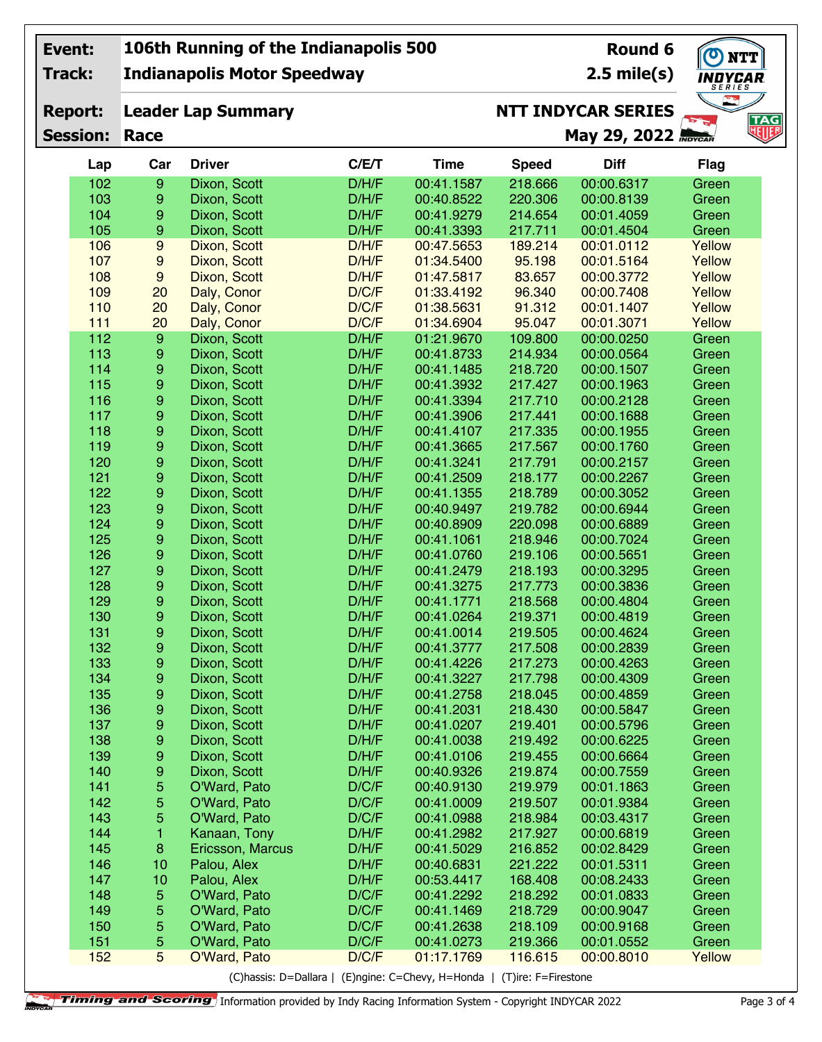| Event:          |                  | 106th Running of the Indianapolis 500 |                                                                         | Round 6     | $\bigcirc$<br><b>NTT</b> |                             |                          |                   |
|-----------------|------------------|---------------------------------------|-------------------------------------------------------------------------|-------------|--------------------------|-----------------------------|--------------------------|-------------------|
| Track:          |                  | <b>Indianapolis Motor Speedway</b>    |                                                                         |             |                          | $2.5$ mile(s)               | <b>INDYCAR</b><br>SERIES |                   |
| <b>Report:</b>  |                  | <b>Leader Lap Summary</b>             |                                                                         |             |                          | <b>NTT INDYCAR SERIES</b>   |                          |                   |
| <b>Session:</b> | Race             |                                       |                                                                         |             |                          | May 29, 2022 <b>May CAR</b> |                          | <b>TAG</b><br>NUF |
| Lap             | Car              | <b>Driver</b>                         | C/E/T                                                                   | <b>Time</b> | <b>Speed</b>             | <b>Diff</b>                 | <b>Flag</b>              |                   |
| 102             | 9                | Dixon, Scott                          | D/H/F                                                                   | 00:41.1587  | 218.666                  | 00:00.6317                  | Green                    |                   |
| 103             | 9                | Dixon, Scott                          | D/H/F                                                                   | 00:40.8522  | 220.306                  | 00:00.8139                  | Green                    |                   |
| 104             | 9                | Dixon, Scott                          | D/H/F                                                                   | 00:41.9279  | 214.654                  | 00:01.4059                  | Green                    |                   |
| 105             | 9                | Dixon, Scott                          | D/H/F                                                                   | 00:41.3393  | 217.711                  | 00:01.4504                  | Green                    |                   |
| 106             | 9                | Dixon, Scott                          | D/H/F                                                                   | 00:47.5653  | 189.214                  | 00:01.0112                  | Yellow                   |                   |
| 107             | 9                | Dixon, Scott                          | D/H/F                                                                   | 01:34.5400  | 95.198                   | 00:01.5164                  | Yellow                   |                   |
| 108             | 9                | Dixon, Scott                          | D/H/F                                                                   | 01:47.5817  | 83.657                   | 00:00.3772                  | Yellow                   |                   |
| 109             | 20               | Daly, Conor                           | D/C/F                                                                   | 01:33.4192  | 96.340                   | 00:00.7408                  | Yellow                   |                   |
| 110             | 20               | Daly, Conor                           | D/C/F                                                                   | 01:38.5631  | 91.312                   | 00:01.1407                  | Yellow                   |                   |
| $111$           | 20               | Daly, Conor                           | D/C/F                                                                   | 01:34.6904  | 95.047                   | 00:01.3071                  | Yellow                   |                   |
| 112             | $\boldsymbol{9}$ | Dixon, Scott                          | D/H/F                                                                   | 01:21.9670  | 109.800                  | 00:00.0250                  | Green                    |                   |
| 113             | 9                | Dixon, Scott                          | D/H/F                                                                   | 00:41.8733  | 214.934                  | 00:00.0564                  | Green                    |                   |
| 114             | 9                | Dixon, Scott                          | D/H/F                                                                   | 00:41.1485  | 218.720                  | 00:00.1507                  | Green                    |                   |
| 115             | 9                | Dixon, Scott                          | D/H/F                                                                   | 00:41.3932  | 217.427                  | 00:00.1963                  | Green                    |                   |
| 116             | 9                | Dixon, Scott                          | D/H/F                                                                   | 00:41.3394  | 217.710                  | 00:00.2128                  | Green                    |                   |
| 117             | 9                | Dixon, Scott                          | D/H/F                                                                   | 00:41.3906  | 217.441                  | 00:00.1688                  | Green                    |                   |
| 118             | 9                | Dixon, Scott                          | D/H/F                                                                   | 00:41.4107  | 217.335                  | 00:00.1955                  | Green                    |                   |
| 119             | 9                | Dixon, Scott                          | D/H/F                                                                   | 00:41.3665  | 217.567                  | 00:00.1760                  | Green                    |                   |
| 120             | 9                | Dixon, Scott                          | D/H/F                                                                   | 00:41.3241  | 217.791                  | 00:00.2157                  | Green                    |                   |
| 121             | 9                | Dixon, Scott                          | D/H/F                                                                   | 00:41.2509  | 218.177                  | 00:00.2267                  | Green                    |                   |
| 122             | 9                | Dixon, Scott                          | D/H/F                                                                   | 00:41.1355  | 218.789                  | 00:00.3052                  | Green                    |                   |
| 123             | 9                | Dixon, Scott                          | D/H/F                                                                   | 00:40.9497  | 219.782                  | 00:00.6944                  | Green                    |                   |
| 124             | 9                | Dixon, Scott                          | D/H/F                                                                   | 00:40.8909  | 220.098                  | 00:00.6889                  | Green                    |                   |
| 125             | 9                | Dixon, Scott                          | D/H/F                                                                   | 00:41.1061  | 218.946                  | 00:00.7024                  | Green                    |                   |
| 126             | 9                | Dixon, Scott                          | D/H/F                                                                   | 00:41.0760  | 219.106                  | 00:00.5651                  | Green                    |                   |
| 127             | 9                | Dixon, Scott                          | D/H/F                                                                   | 00:41.2479  | 218.193                  | 00:00.3295                  | Green                    |                   |
| 128             | 9                | Dixon, Scott                          | D/H/F                                                                   | 00:41.3275  | 217.773                  | 00:00.3836                  | Green                    |                   |
| 129             | 9                | Dixon, Scott                          | D/H/F                                                                   | 00:41.1771  | 218.568                  | 00:00.4804                  | Green                    |                   |
| 130             | 9                | Dixon, Scott                          | D/H/F                                                                   | 00:41.0264  | 219.371                  | 00:00.4819                  | Green                    |                   |
| 131             | 9                | Dixon, Scott                          | D/H/F                                                                   | 00:41.0014  | 219.505                  | 00:00.4624                  | Green                    |                   |
| 132             | 9                | Dixon, Scott                          | D/H/F                                                                   | 00:41.3777  | 217.508                  | 00:00.2839                  | Green                    |                   |
| 133             | 9                | Dixon, Scott                          | D/H/F                                                                   | 00:41.4226  | 217.273                  | 00:00.4263                  | Green                    |                   |
| 134             | 9                | Dixon, Scott                          | D/H/F                                                                   | 00:41.3227  | 217.798                  | 00:00.4309                  | Green                    |                   |
| 135             | 9                | Dixon, Scott                          | D/H/F                                                                   | 00:41.2758  | 218.045                  | 00:00.4859                  | Green                    |                   |
| 136             | 9                | Dixon, Scott                          | D/H/F                                                                   | 00:41.2031  | 218.430                  | 00:00.5847                  | Green                    |                   |
| 137             | 9                | Dixon, Scott                          | D/H/F                                                                   | 00:41.0207  | 219.401                  | 00:00.5796                  | Green                    |                   |
| 138             | 9                | Dixon, Scott                          | D/H/F                                                                   | 00:41.0038  | 219.492                  | 00:00.6225                  | Green                    |                   |
| 139             | 9                | Dixon, Scott                          | D/H/F                                                                   | 00:41.0106  | 219.455                  | 00:00.6664                  | Green                    |                   |
| 140             | 9                | Dixon, Scott                          | D/H/F                                                                   | 00:40.9326  | 219.874                  | 00:00.7559                  | Green                    |                   |
| 141             | 5                | O'Ward, Pato                          | D/C/F                                                                   | 00:40.9130  | 219.979                  | 00:01.1863                  | Green                    |                   |
| 142             | 5                | O'Ward, Pato                          | D/C/F                                                                   | 00:41.0009  | 219.507                  | 00:01.9384                  | Green                    |                   |
| 143             | 5                | O'Ward, Pato                          | D/C/F                                                                   | 00:41.0988  | 218.984                  | 00:03.4317                  | Green                    |                   |
| 144             | $\mathbf{1}$     | Kanaan, Tony                          | D/H/F                                                                   | 00:41.2982  | 217.927                  | 00:00.6819                  | Green                    |                   |
| 145             | $\bf8$           | Ericsson, Marcus                      | D/H/F                                                                   | 00:41.5029  | 216.852                  | 00:02.8429                  | Green                    |                   |
| 146             | 10               | Palou, Alex                           | D/H/F                                                                   | 00:40.6831  | 221.222                  | 00:01.5311                  | Green                    |                   |
| 147             | 10               | Palou, Alex                           | D/H/F                                                                   | 00:53.4417  | 168.408                  | 00:08.2433                  | Green                    |                   |
| 148             | 5                | O'Ward, Pato                          | D/C/F                                                                   | 00:41.2292  | 218.292                  | 00:01.0833                  | Green                    |                   |
| 149             | 5                | O'Ward, Pato                          | D/C/F                                                                   | 00:41.1469  | 218.729                  | 00:00.9047                  | Green                    |                   |
| 150             | 5                | O'Ward, Pato                          | D/C/F                                                                   | 00:41.2638  | 218.109                  | 00:00.9168                  | Green                    |                   |
| 151             | 5                | O'Ward, Pato                          | D/C/F                                                                   | 00:41.0273  | 219.366                  | 00:01.0552                  | Green                    |                   |
| 152             | 5                | O'Ward, Pato                          | D/C/F                                                                   | 01:17.1769  | 116.615                  | 00:00.8010                  | Yellow                   |                   |
|                 |                  |                                       | (C)hassis: D=Dallara   (E)ngine: C=Chevy, H=Honda   (T)ire: F=Firestone |             |                          |                             |                          |                   |